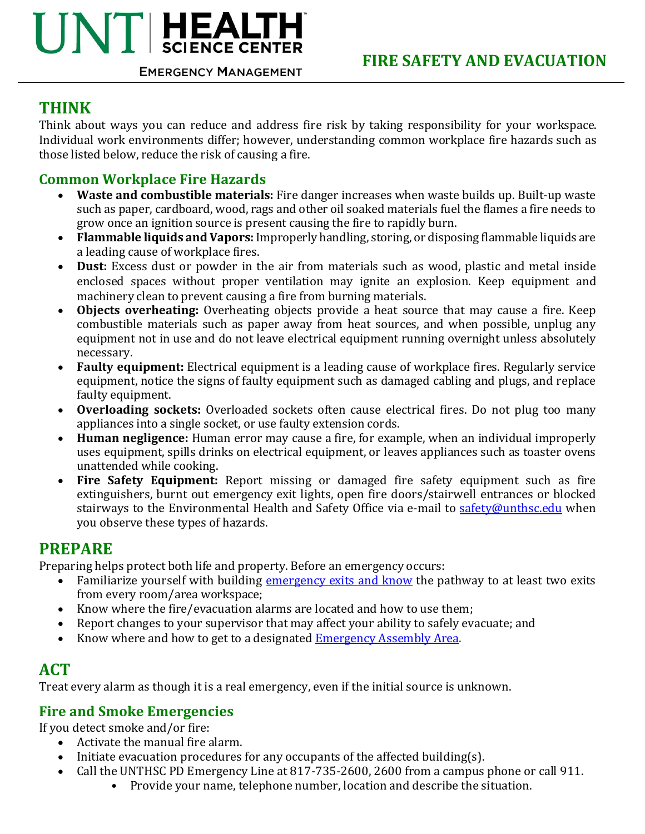# $\mathbf{U} \mathbf{N} \mathbf{T}$  HEALTH **EMERGENCY MANAGEMENT**

## **THINK**

Think about ways you can reduce and address fire risk by taking responsibility for your workspace. Individual work environments differ; however, understanding common workplace fire hazards such as those listed below, reduce the risk of causing a fire.

### **Common Workplace Fire Hazards**

- Waste and combustible materials: Fire danger increases when waste builds up. Built-up waste such as paper, cardboard, wood, rags and other oil soaked materials fuel the flames a fire needs to grow once an ignition source is present causing the fire to rapidly burn.
- Flammable liquids and Vapors: Improperly handling, storing, or disposing flammable liquids are a leading cause of workplace fires.
- Dust: Excess dust or powder in the air from materials such as wood, plastic and metal inside enclosed spaces without proper ventilation may ignite an explosion. Keep equipment and machinery clean to prevent causing a fire from burning materials.
- **Objects overheating:** Overheating objects provide a heat source that may cause a fire. Keep combustible materials such as paper away from heat sources, and when possible, unplug any equipment not in use and do not leave electrical equipment running overnight unless absolutely necessary.
- **Faulty equipment:** Electrical equipment is a leading cause of workplace fires. Regularly service equipment, notice the signs of faulty equipment such as damaged cabling and plugs, and replace faulty equipment.
- **Overloading sockets:** Overloaded sockets often cause electrical fires. Do not plug too many appliances into a single socket, or use faulty extension cords.
- Human negligence: Human error may cause a fire, for example, when an individual improperly uses equipment, spills drinks on electrical equipment, or leaves appliances such as toaster ovens unattended while cooking.
- Fire Safety Equipment: Report missing or damaged fire safety equipment such as fire extinguishers, burnt out emergency exit lights, open fire doors/stairwell entrances or blocked stairways to the Environmental Health and Safety Office via e-mail to safety@unthsc.edu when you observe these types of hazards.

### **PREPARE**

Preparing helps protect both life and property. Before an emergency occurs:

- Familiarize yourself with building emergency exits and know the pathway to at least two exits from every room/area workspace;
- Know where the fire/evacuation alarms are located and how to use them;
- Report changes to your supervisor that may affect your ability to safely evacuate; and
- Know where and how to get to a designated Emergency Assembly Area.

# **ACT**

Treat every alarm as though it is a real emergency, even if the initial source is unknown.

### **Fire and Smoke Emergencies**

If you detect smoke and/or fire:

- Activate the manual fire alarm.
- Initiate evacuation procedures for any occupants of the affected building(s).
- Call the UNTHSC PD Emergency Line at 817-735-2600, 2600 from a campus phone or call 911.
	- Provide your name, telephone number, location and describe the situation.